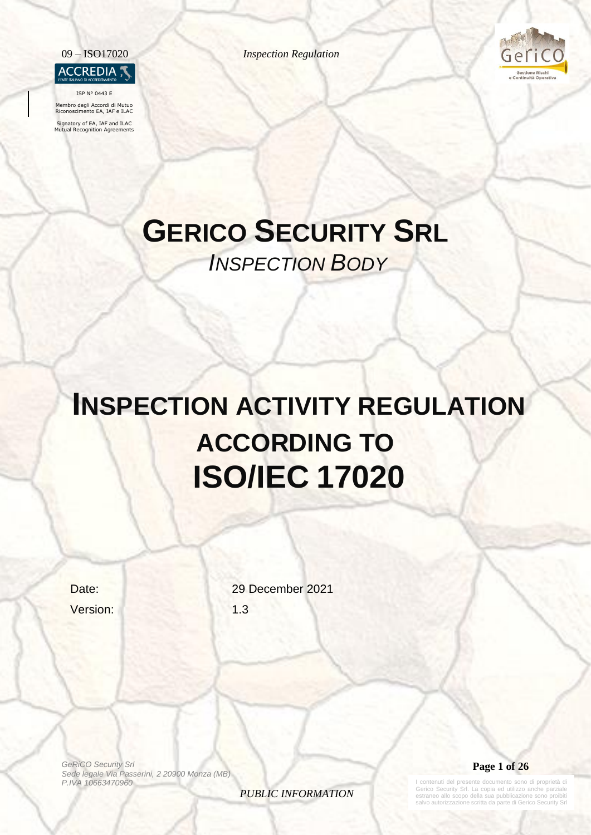

ISP N° 0443 E

Membro degli Accordi di Mutuo Riconoscimento EA, IAF e ILAC

Signatory of EA, IAF and ILAC Mutual Recognition Agreements

09 – ISO17020 *Inspection Regulation*



# **GERICO SECURITY SRL** *INSPECTION BODY*

# **INSPECTION ACTIVITY REGULATION ACCORDING TO ISO/IEC 17020**

Version: 1.3

Date: 29 December 2021

*GeRiCO Security Srl Sede legale Via Passerini, 2 20900 Monza (MB) P.IVA 10663470960*

*PUBLIC INFORMATION*



contenuti del presente documento sono di proprietà di Gerico Security Srl. La copia ed utilizzo anche parziale estraneo allo scopo della sua pubblicazione sono proibiti salvo autorizzazione scritta da parte di Gerico Security Srl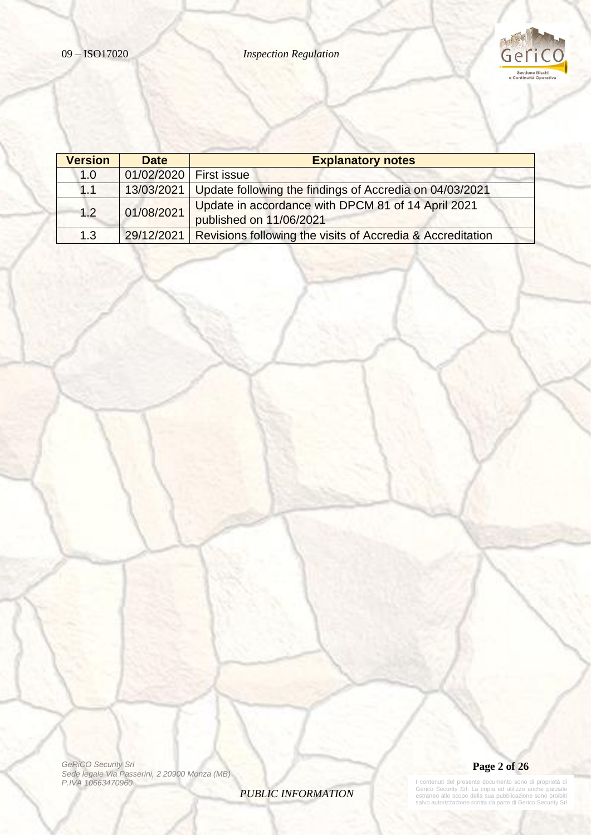

| <b>Version</b> | <b>Date</b> | <b>Explanatory notes</b>                                   |
|----------------|-------------|------------------------------------------------------------|
| 1.0            | 01/02/2020  | <b>First issue</b>                                         |
| 1.1            | 13/03/2021  | Update following the findings of Accredia on 04/03/2021    |
| 1.2            | 01/08/2021  | Update in accordance with DPCM 81 of 14 April 2021         |
|                |             | published on 11/06/2021                                    |
| 1.3            | 29/12/2021  | Revisions following the visits of Accredia & Accreditation |

*GeRiCO Security Srl Sede legale Via Passerini, 2 20900 Monza (MB) P.IVA 10663470960*

*PUBLIC INFORMATION*



I contenuti del presente documento sono di proprietà di<br>Gerico Security Srl. La copia ed utilizzo anche parziale<br>estraneo allo scopo della sua pubblicazione sono proibiti<br>salvo autorizzazione scritta da parte di Gerico Sec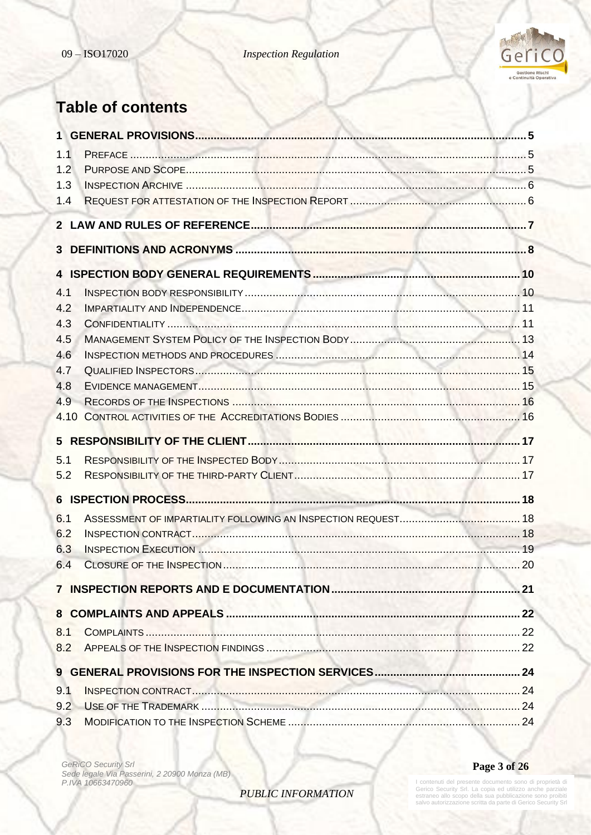

# **Table of contents**

| 1.1        |  |
|------------|--|
| 1.2        |  |
| 1.3        |  |
| 1.4        |  |
|            |  |
|            |  |
|            |  |
| 4.1        |  |
| 4.2        |  |
| 4.3        |  |
| 4.5        |  |
| 4.6        |  |
| 4.7        |  |
| 4.8        |  |
| 4.9        |  |
| 4.10       |  |
|            |  |
|            |  |
| 5.1        |  |
| 5.2        |  |
|            |  |
| 6.1        |  |
| 6.2        |  |
| 6.3        |  |
| 6.4        |  |
|            |  |
|            |  |
| 8.1        |  |
| 8.2        |  |
|            |  |
|            |  |
| 9.1<br>9.2 |  |

*GeRiCO Security Srl Sede legale Via Passerini, 2 20900 Monza (MB) P.IVA 10663470960*

**Page 3 of 26**

*PUBLIC INFORMATION*

I contenuti del presente documento sono di proprietà di<br>Gerico Security Srl. La copia ed utilizzo anche parziale<br>estraneo allo scopo della sua pubblicazione sono proibiti<br>salvo autorizzazione scritta da parte di Gerico Sec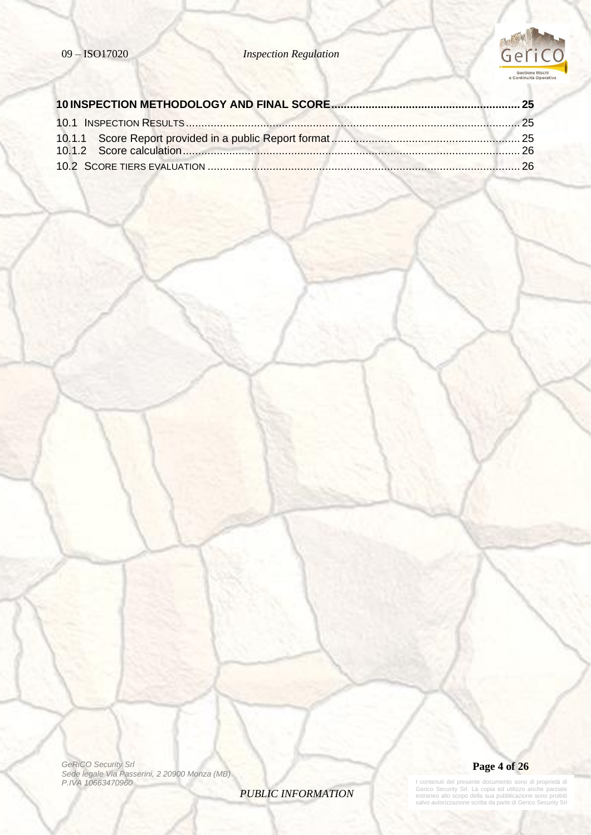

*GeRiCO Security Srl Sede legale Via Passerini, 2 20900 Monza (MB) P.IVA 10663470960*

*PUBLIC INFORMATION*



I contenuti del presente documento sono di proprietà di<br>Gerico Security Srl. La copia ed utilizzo anche parziale<br>estraneo allo scopo della sua pubblicazione sono proibiti<br>salvo autorizzazione scritta da parte di Gerico Sec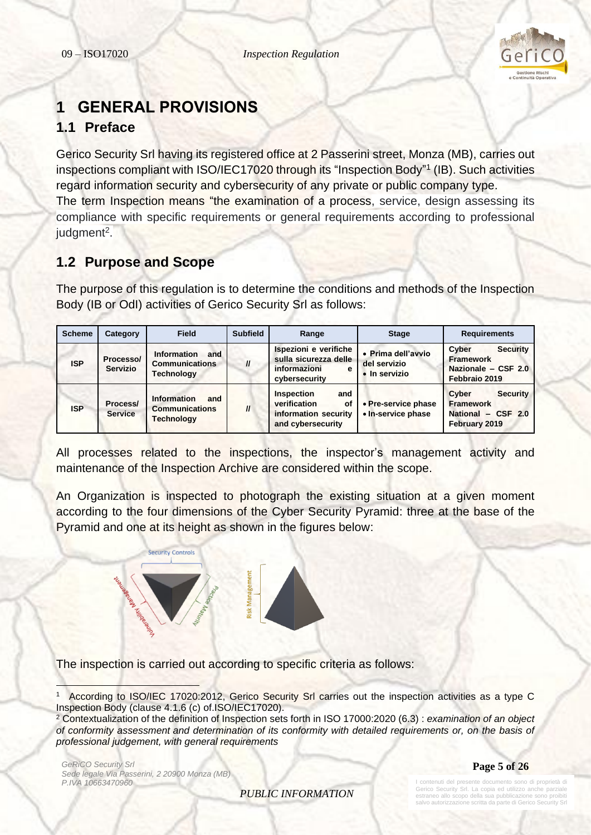

# <span id="page-4-0"></span>**1 GENERAL PROVISIONS**

# <span id="page-4-1"></span>**1.1 Preface**

Gerico Security Srl having its registered office at 2 Passerini street, Monza (MB), carries out inspections compliant with ISO/IEC17020 through its "Inspection Body"<sup>1</sup> (IB). Such activities regard information security and cybersecurity of any private or public company type. The term Inspection means "the examination of a process, service, design assessing its compliance with specific requirements or general requirements according to professional judgment<sup>2</sup>.

# <span id="page-4-2"></span>**1.2 Purpose and Scope**

The purpose of this regulation is to determine the conditions and methods of the Inspection Body (IB or OdI) activities of Gerico Security Srl as follows:

| <b>Scheme</b> | Category                     | <b>Field</b>                                                     | <b>Subfield</b> | Range                                                                                | <b>Stage</b>                                        | <b>Requirements</b>                                                                  |
|---------------|------------------------------|------------------------------------------------------------------|-----------------|--------------------------------------------------------------------------------------|-----------------------------------------------------|--------------------------------------------------------------------------------------|
| <b>ISP</b>    | Processo/<br><b>Servizio</b> | Information<br>and<br><b>Communications</b><br><b>Technology</b> | $\mathbf{u}$    | Ispezioni e verifiche<br>sulla sicurezza delle<br>informazioni<br>е<br>cybersecurity | • Prima dell'avvio<br>del servizio<br>• In servizio | <b>Security</b><br>Cyber<br><b>Framework</b><br>Nazionale - CSF 2.0<br>Febbraio 2019 |
| <b>ISP</b>    | Process/<br><b>Service</b>   | Information<br>and<br><b>Communications</b><br><b>Technology</b> | $\mathbf{u}$    | Inspection<br>and<br>verification<br>οf<br>information security<br>and cybersecurity | • Pre-service phase<br>• In-service phase           | Cyber<br><b>Security</b><br><b>Framework</b><br>National - CSF 2.0<br>February 2019  |

All processes related to the inspections, the inspector's management activity and maintenance of the Inspection Archive are considered within the scope.

An Organization is inspected to photograph the existing situation at a given moment according to the four dimensions of the Cyber Security Pyramid: three at the base of the Pyramid and one at its height as shown in the figures below:



The inspection is carried out according to specific criteria as follows:

*GeRiCO Security Srl Sede legale Via Passerini, 2 20900 Monza (MB) P.IVA 10663470960*

**Page 5 of 26**

*PUBLIC INFORMATION*

contenuti del presente documento sono di proprietà di Gerico Security Srl. La copia ed utilizzo anche parziale estraneo allo scopo della sua pubblicazione sono proibiti alvo autorizzazione scritta da parte di Gerico Sec

<sup>1</sup> According to ISO/IEC 17020:2012, Gerico Security Srl carries out the inspection activities as a type C Inspection Body (clause 4.1.6 (c) of.ISO/IEC17020).

<sup>2</sup> Contextualization of the definition of Inspection sets forth in ISO 17000:2020 (6.3) : *examination of an [object](https://www.iso.org/obp/ui/#iso:std:iso-iec:17000:ed-2:v2:en:term:4.2)  [of conformity assessment](https://www.iso.org/obp/ui/#iso:std:iso-iec:17000:ed-2:v2:en:term:4.2) and determination of its conformity with detailed requirements or, on the basis of professional judgement, with general requirements*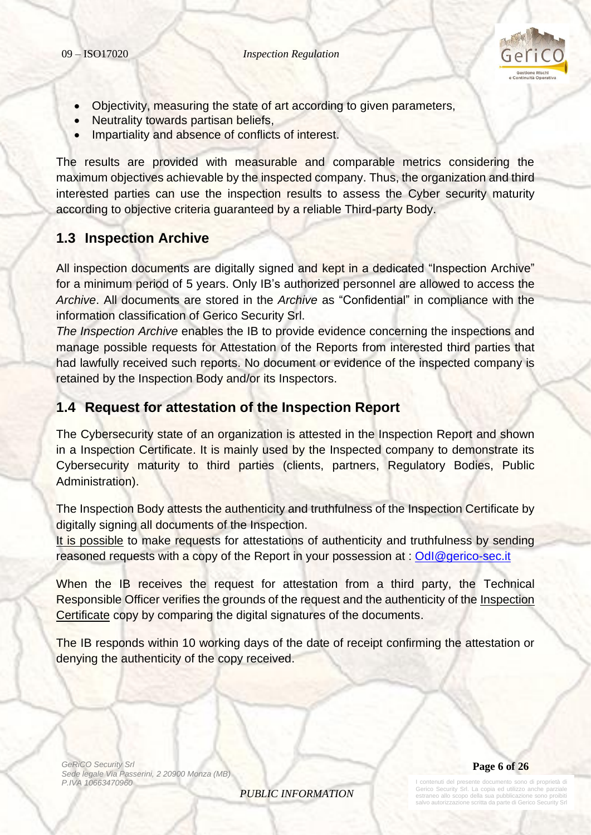

- Objectivity, measuring the state of art according to given parameters,
- Neutrality towards partisan beliefs,
- Impartiality and absence of conflicts of interest.

The results are provided with measurable and comparable metrics considering the maximum objectives achievable by the inspected company. Thus, the organization and third interested parties can use the inspection results to assess the Cyber security maturity according to objective criteria guaranteed by a reliable Third-party Body.

### <span id="page-5-0"></span>**1.3 Inspection Archive**

All inspection documents are digitally signed and kept in a dedicated "Inspection Archive" for a minimum period of 5 years. Only IB's authorized personnel are allowed to access the *Archive*. All documents are stored in the *Archive* as "Confidential" in compliance with the information classification of Gerico Security Srl.

*The Inspection Archive* enables the IB to provide evidence concerning the inspections and manage possible requests for Attestation of the Reports from interested third parties that had lawfully received such reports. No document or evidence of the inspected company is retained by the Inspection Body and/or its Inspectors.

### <span id="page-5-1"></span>**1.4 Request for attestation of the Inspection Report**

The Cybersecurity state of an organization is attested in the Inspection Report and shown in a Inspection Certificate. It is mainly used by the Inspected company to demonstrate its Cybersecurity maturity to third parties (clients, partners, Regulatory Bodies, Public Administration).

The Inspection Body attests the authenticity and truthfulness of the Inspection Certificate by digitally signing all documents of the Inspection.

It is possible to make requests for attestations of authenticity and truthfulness by sending reasoned requests with a copy of the Report in your possession at : Odl@gerico-sec.it

When the IB receives the request for attestation from a third party, the Technical Responsible Officer verifies the grounds of the request and the authenticity of the Inspection Certificate copy by comparing the digital signatures of the documents.

The IB responds within 10 working days of the date of receipt confirming the attestation or denying the authenticity of the copy received.

*GeRiCO Security Srl Sede legale Via Passerini, 2 20900 Monza (MB) P.IVA 10663470960*

*PUBLIC INFORMATION*



te documento sono di proprietà di Gerico Security Srl. La copia ed utilizzo anche parziale estraneo allo scopo della sua pubblicazione sono proibiti vo autorizzazione scritta da parte di Gerico Se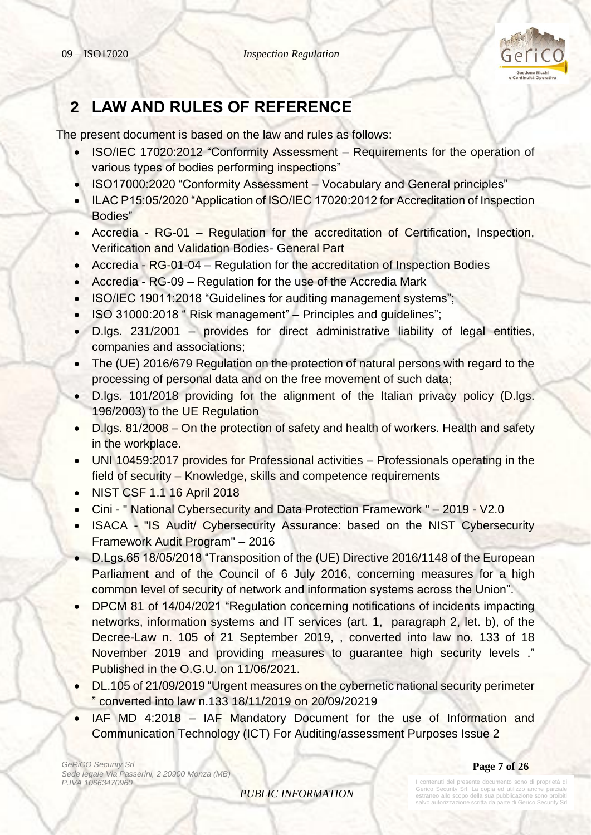

# <span id="page-6-0"></span>**2 LAW AND RULES OF REFERENCE**

The present document is based on the law and rules as follows:

- ISO/IEC 17020:2012 "Conformity Assessment Requirements for the operation of various types of bodies performing inspections"
- ISO17000:2020 "Conformity Assessment Vocabulary and General principles"
- ILAC P15:05/2020 "Application of ISO/IEC 17020:2012 for Accreditation of Inspection Bodies"
- Accredia RG-01 Regulation for the accreditation of Certification, Inspection, Verification and Validation Bodies- General Part
- Accredia RG-01-04 Regulation for the accreditation of Inspection Bodies
- Accredia RG-09 Regulation for the use of the Accredia Mark
- ISO/IEC 19011:2018 "Guidelines for auditing management systems";
- ISO 31000:2018 " Risk management" Principles and guidelines";
- D.lgs. 231/2001 provides for direct administrative liability of legal entities, companies and associations;
- The (UE) 2016/679 Regulation on the protection of natural persons with regard to the processing of personal data and on the free movement of such data;
- D.lgs. 101/2018 providing for the alignment of the Italian privacy policy (D.lgs. 196/2003) to the UE Regulation
- D.lgs. 81/2008 On the protection of safety and health of workers. Health and safety in the workplace.
- UNI 10459:2017 provides for Professional activities Professionals operating in the field of security – Knowledge, skills and competence requirements
- NIST CSF 1.1 16 April 2018
- Cini " National Cybersecurity and Data Protection Framework " 2019 V2.0
- ISACA "IS Audit/ Cybersecurity Assurance: based on the NIST Cybersecurity Framework Audit Program" – 2016
- D.Lgs.65 18/05/2018 "Transposition of the (UE) Directive 2016/1148 of the European Parliament and of the Council of 6 July 2016, concerning measures for a high common level of security of network and information systems across the Union".
- DPCM 81 of 14/04/2021 "Regulation concerning notifications of incidents impacting networks, information systems and IT services (art. 1, paragraph 2, let. b), of the Decree-Law n. 105 of 21 September 2019, , converted into law no. 133 of 18 November 2019 and providing measures to guarantee high security levels ." Published in the O.G.U. on 11/06/2021.
- DL.105 of 21/09/2019 "Urgent measures on the cybernetic national security perimeter " converted into law n.133 18/11/2019 on 20/09/20219
- IAF MD 4:2018 IAF Mandatory Document for the use of Information and Communication Technology (ICT) For Auditing/assessment Purposes Issue 2

*GeRiCO Security Srl Sede legale Via Passerini, 2 20900 Monza (MB) P.IVA 10663470960*

**Page 7 of 26**

*PUBLIC INFORMATION*

enuti del presente documento sono di proprietà di Gerico Security Srl. La copia ed utilizzo anche parziale estraneo allo scopo della sua pubblicazione sono proibiti salvo autorizzazione scritta da parte di Gerico Sec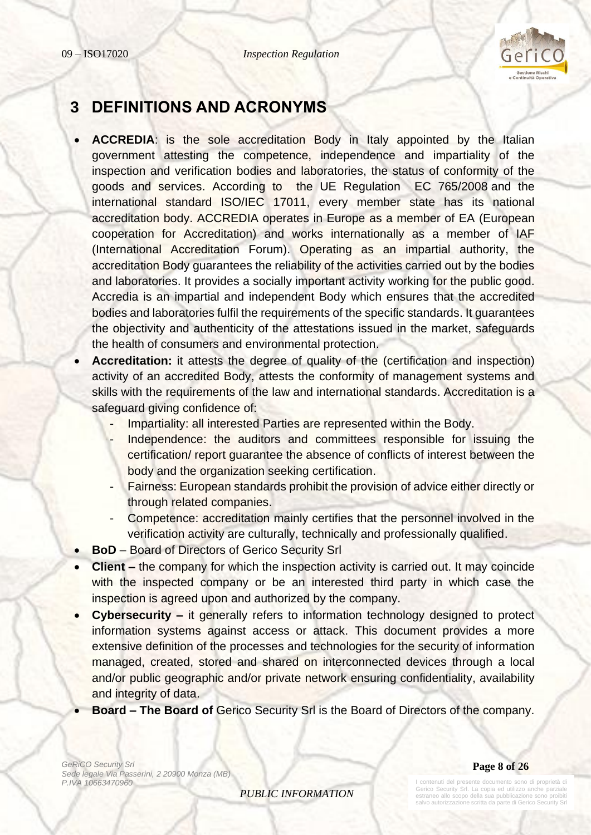

# <span id="page-7-0"></span>**3 DEFINITIONS AND ACRONYMS**

- **ACCREDIA**: is the sole accreditation Body in Italy appointed by the Italian government attesting the competence, independence and impartiality of the inspection and verification bodies and laboratories, the status of conformity of the goods and services. According to the UE [Regulation EC 765/2008](https://www.accredia.it/documento/regolamento-ce-n-7652008/?preview=true) and the international standard ISO/IEC 17011, every member state has its national accreditation body. ACCREDIA operates in Europe as a member of EA (European cooperation for Accreditation) and works internationally as a member of IAF (International Accreditation Forum). Operating as an impartial authority, the accreditation Body guarantees the reliability of the activities carried out by the bodies and laboratories. It provides a socially important activity working for the public good. Accredia is an impartial and independent Body which ensures that the accredited bodies and laboratories fulfil the requirements of the specific standards. It guarantees the objectivity and authenticity of the attestations issued in the market, safeguards the health of consumers and environmental protection.
- **Accreditation:** it attests the degree of quality of the (certification and inspection) activity of an accredited Body, attests the conformity of management systems and skills with the requirements of the law and international standards. Accreditation is a safeguard giving confidence of:
	- Impartiality: all interested Parties are represented within the Body.
	- Independence: the auditors and committees responsible for issuing the certification/ report guarantee the absence of conflicts of interest between the body and the organization seeking certification.
	- Fairness: European standards prohibit the provision of advice either directly or through related companies.
	- Competence: accreditation mainly certifies that the personnel involved in the verification activity are culturally, technically and professionally qualified.
- **BoD** Board of Directors of Gerico Security Srl
- **Client –** the company for which the inspection activity is carried out. It may coincide with the inspected company or be an interested third party in which case the inspection is agreed upon and authorized by the company.
- **Cybersecurity –** it generally refers to information technology designed to protect information systems against access or attack. This document provides a more extensive definition of the processes and technologies for the security of information managed, created, stored and shared on interconnected devices through a local and/or public geographic and/or private network ensuring confidentiality, availability and integrity of data.
- **Board – The Board of** Gerico Security Srl is the Board of Directors of the company.

*GeRiCO Security Srl Sede legale Via Passerini, 2 20900 Monza (MB) P.IVA 10663470960*

**Page 8 of 26**

*PUBLIC INFORMATION*

I contenuti del presente documento sono di proprietà di Gerico Security Srl. La copia ed utilizzo anche parziale estraneo allo scopo della sua pubblicazione sono proibiti salvo autorizzazione scritta da parte di Gerico Sec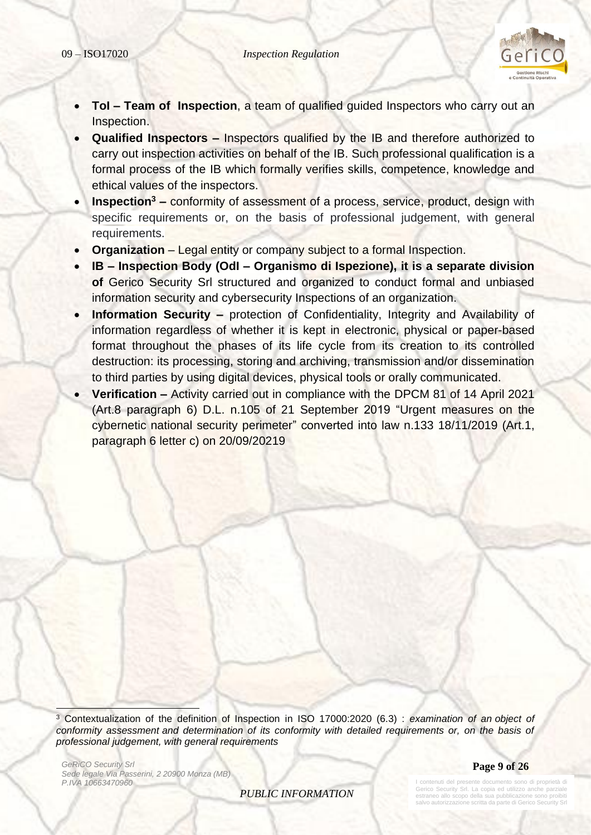

- **ToI – Team of Inspection**, a team of qualified guided Inspectors who carry out an Inspection.
- **Qualified Inspectors –** Inspectors qualified by the IB and therefore authorized to carry out inspection activities on behalf of the IB. Such professional qualification is a formal process of the IB which formally verifies skills, competence, knowledge and ethical values of the inspectors.
- **Inspection<sup>3</sup> –** conformity of assessment of a process, service, product, design with specific requirements or, on the basis of professional judgement, with general requirements.
- **Organization** Legal entity or company subject to a formal Inspection.
- **IB – Inspection Body (OdI – Organismo di Ispezione), it is a separate division of** Gerico Security Srl structured and organized to conduct formal and unbiased information security and cybersecurity Inspections of an organization.
- **Information Security –** protection of Confidentiality, Integrity and Availability of information regardless of whether it is kept in electronic, physical or paper-based format throughout the phases of its life cycle from its creation to its controlled destruction: its processing, storing and archiving, transmission and/or dissemination to third parties by using digital devices, physical tools or orally communicated.
- **Verification –** Activity carried out in compliance with the DPCM 81 of 14 April 2021 (Art.8 paragraph 6) D.L. n.105 of 21 September 2019 "Urgent measures on the cybernetic national security perimeter" converted into law n.133 18/11/2019 (Art.1, paragraph 6 letter c) on 20/09/20219

<sup>3</sup> Contextualization of the definition of Inspection in ISO 17000:2020 (6.3) : *examination of an [object of](https://www.iso.org/obp/ui/#iso:std:iso-iec:17000:ed-2:v2:en:term:4.2)  [conformity assessment](https://www.iso.org/obp/ui/#iso:std:iso-iec:17000:ed-2:v2:en:term:4.2) and determination of its conformity with detailed requirements or, on the basis of professional judgement, with general requirements*

*GeRiCO Security Srl Sede legale Via Passerini, 2 20900 Monza (MB) P.IVA 10663470960*

**Page 9 of 26**

*PUBLIC INFORMATION*

contenuti del presente documento sono di proprietà di Gerico Security Srl. La copia ed utilizzo anche parziale estraneo allo scopo della sua pubblicazione sono proibiti salvo autorizzazione scritta da parte di Gerico Sec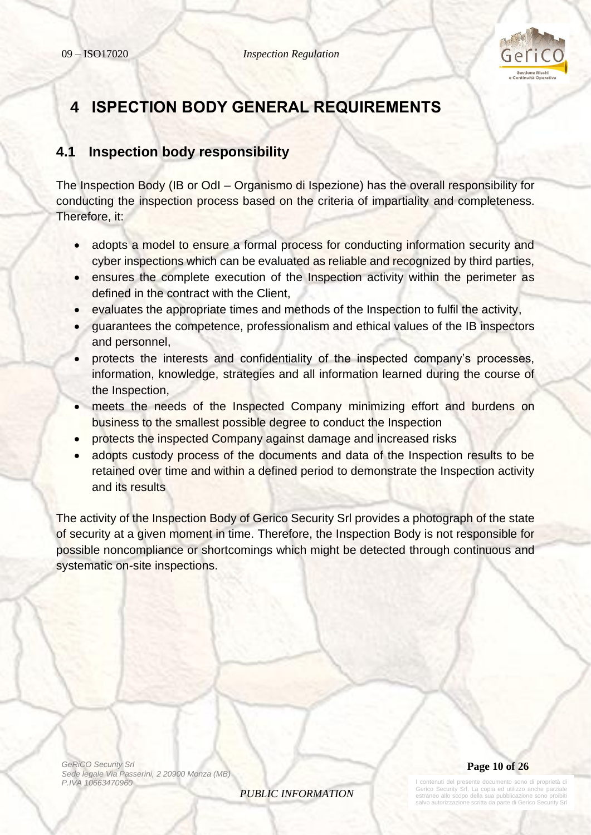

# <span id="page-9-0"></span>**4 ISPECTION BODY GENERAL REQUIREMENTS**

# <span id="page-9-1"></span>**4.1 Inspection body responsibility**

The Inspection Body (IB or OdI – Organismo di Ispezione) has the overall responsibility for conducting the inspection process based on the criteria of impartiality and completeness. Therefore, it:

- adopts a model to ensure a formal process for conducting information security and cyber inspections which can be evaluated as reliable and recognized by third parties,
- ensures the complete execution of the Inspection activity within the perimeter as defined in the contract with the Client,
- evaluates the appropriate times and methods of the Inspection to fulfil the activity,
- guarantees the competence, professionalism and ethical values of the IB inspectors and personnel,
- protects the interests and confidentiality of the inspected company's processes, information, knowledge, strategies and all information learned during the course of the Inspection,
- meets the needs of the Inspected Company minimizing effort and burdens on business to the smallest possible degree to conduct the Inspection
- protects the inspected Company against damage and increased risks
- adopts custody process of the documents and data of the Inspection results to be retained over time and within a defined period to demonstrate the Inspection activity and its results

The activity of the Inspection Body of Gerico Security Srl provides a photograph of the state of security at a given moment in time. Therefore, the Inspection Body is not responsible for possible noncompliance or shortcomings which might be detected through continuous and systematic on-site inspections.

*GeRiCO Security Srl Sede legale Via Passerini, 2 20900 Monza (MB) P.IVA 10663470960*

*PUBLIC INFORMATION*



I contenuti del presente documento sono di proprietà di erico Security Srl. La copia ed utilizzo anche estranti sulla suppia sulla sua pubblicazione sono provincia per controlle sono provincia sono provincia della salvo autorizzazione scritta da parte di Gerico Security Srl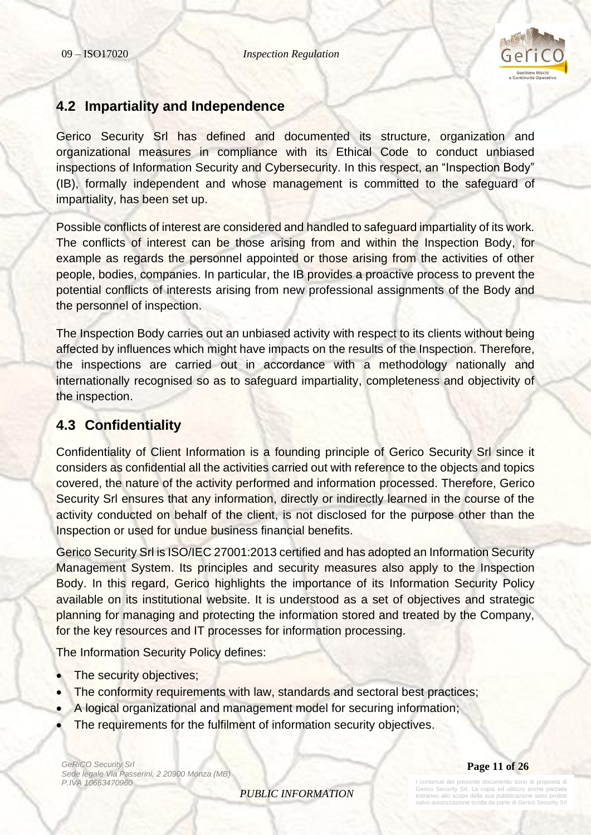

## <span id="page-10-0"></span>**4.2 Impartiality and Independence**

Gerico Security Srl has defined and documented its structure, organization and organizational measures in compliance with its Ethical Code to conduct unbiased inspections of Information Security and Cybersecurity. In this respect, an "Inspection Body" (IB), formally independent and whose management is committed to the safeguard of impartiality, has been set up.

Possible conflicts of interest are considered and handled to safeguard impartiality of its work. The conflicts of interest can be those arising from and within the Inspection Body, for example as regards the personnel appointed or those arising from the activities of other people, bodies, companies. In particular, the IB provides a proactive process to prevent the potential conflicts of interests arising from new professional assignments of the Body and the personnel of inspection.

The Inspection Body carries out an unbiased activity with respect to its clients without being affected by influences which might have impacts on the results of the Inspection. Therefore, the inspections are carried out in accordance with a methodology nationally and internationally recognised so as to safeguard impartiality, completeness and objectivity of the inspection.

# <span id="page-10-1"></span>**4.3 Confidentiality**

Confidentiality of Client Information is a founding principle of Gerico Security Srl since it considers as confidential all the activities carried out with reference to the objects and topics covered, the nature of the activity performed and information processed. Therefore, Gerico Security Srl ensures that any information, directly or indirectly learned in the course of the activity conducted on behalf of the client, is not disclosed for the purpose other than the Inspection or used for undue business financial benefits.

Gerico Security Srl is ISO/IEC 27001:2013 certified and has adopted an Information Security Management System. Its principles and security measures also apply to the Inspection Body. In this regard, Gerico highlights the importance of its Information Security Policy available on its institutional website. It is understood as a set of objectives and strategic planning for managing and protecting the information stored and treated by the Company, for the key resources and IT processes for information processing.

The Information Security Policy defines:

- The security objectives;
- The conformity requirements with law, standards and sectoral best practices;
- A logical organizational and management model for securing information;
- The requirements for the fulfilment of information security objectives.

*GeRiCO Security Srl Sede legale Via Passerini, 2 20900 Monza (MB) P.IVA 10663470960*

**Page 11 of 26**

*PUBLIC INFORMATION*

nuti del presente documento sono di proprietà di Gerico Security Srl. La copia ed utilizzo anche parziale estraneo allo scopo della sua pubblicazione sono proibiti vo autorizzazione scritta da parte di Gerico Se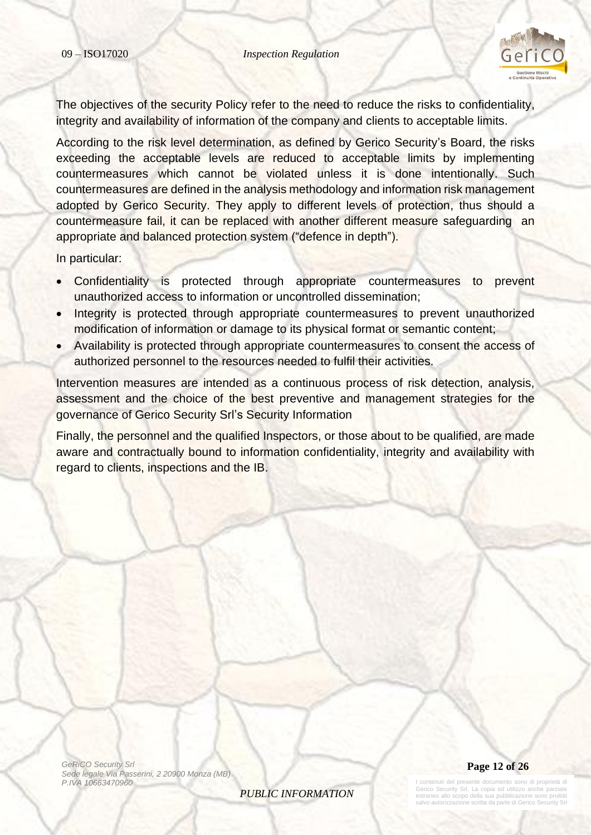

The objectives of the security Policy refer to the need to reduce the risks to confidentiality, integrity and availability of information of the company and clients to acceptable limits.

According to the risk level determination, as defined by Gerico Security's Board, the risks exceeding the acceptable levels are reduced to acceptable limits by implementing countermeasures which cannot be violated unless it is done intentionally. Such countermeasures are defined in the analysis methodology and information risk management adopted by Gerico Security. They apply to different levels of protection, thus should a countermeasure fail, it can be replaced with another different measure safeguarding an appropriate and balanced protection system ("defence in depth").

In particular:

- Confidentiality is protected through appropriate countermeasures to prevent unauthorized access to information or uncontrolled dissemination;
- Integrity is protected through appropriate countermeasures to prevent unauthorized modification of information or damage to its physical format or semantic content;
- Availability is protected through appropriate countermeasures to consent the access of authorized personnel to the resources needed to fulfil their activities.

Intervention measures are intended as a continuous process of risk detection, analysis, assessment and the choice of the best preventive and management strategies for the governance of Gerico Security Srl's Security Information

Finally, the personnel and the qualified Inspectors, or those about to be qualified, are made aware and contractually bound to information confidentiality, integrity and availability with regard to clients, inspections and the IB.

*GeRiCO Security Srl Sede legale Via Passerini, 2 20900 Monza (MB) P.IVA 10663470960*

*PUBLIC INFORMATION*



I contenuti del presente documento sono di proprietà di Gerico Security Srl. La copia ed utilizzo anche parziale estraneo allo scopo della sua pubblicazione sono proibiti salvo autorizzazione scritta da parte di Gerico Se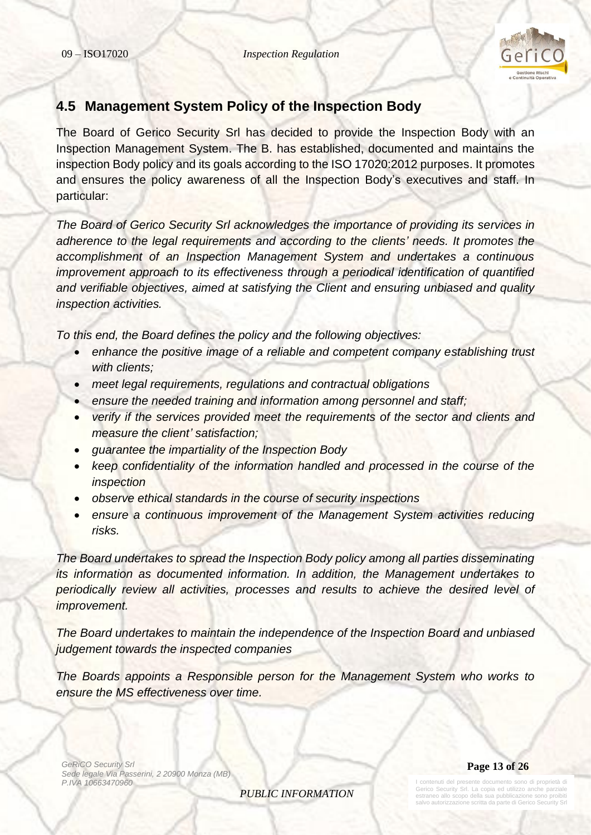

# <span id="page-12-0"></span>**4.5 Management System Policy of the Inspection Body**

The Board of Gerico Security Srl has decided to provide the Inspection Body with an Inspection Management System. The B. has established, documented and maintains the inspection Body policy and its goals according to the ISO 17020:2012 purposes. It promotes and ensures the policy awareness of all the Inspection Body's executives and staff. In particular:

*The Board of Gerico Security Srl acknowledges the importance of providing its services in adherence to the legal requirements and according to the clients' needs. It promotes the accomplishment of an Inspection Management System and undertakes a continuous improvement approach to its effectiveness through a periodical identification of quantified and verifiable objectives, aimed at satisfying the Client and ensuring unbiased and quality inspection activities.*

*To this end, the Board defines the policy and the following objectives:*

- *enhance the positive image of a reliable and competent company establishing trust with clients;*
- *meet legal requirements, regulations and contractual obligations*
- *ensure the needed training and information among personnel and staff;*
- *verify if the services provided meet the requirements of the sector and clients and measure the client' satisfaction;*
- *guarantee the impartiality of the Inspection Body*
- *keep confidentiality of the information handled and processed in the course of the inspection*
- *observe ethical standards in the course of security inspections*
- *ensure a continuous improvement of the Management System activities reducing risks.*

*The Board undertakes to spread the Inspection Body policy among all parties disseminating its information as documented information. In addition, the Management undertakes to periodically review all activities, processes and results to achieve the desired level of improvement.*

*The Board undertakes to maintain the independence of the Inspection Board and unbiased judgement towards the inspected companies*

*The Boards appoints a Responsible person for the Management System who works to ensure the MS effectiveness over time.* 

*GeRiCO Security Srl Sede legale Via Passerini, 2 20900 Monza (MB) P.IVA 10663470960*

**Page 13 of 26**

*PUBLIC INFORMATION*

I contenuti del presente documento sono di proprietà di Gerico Security Srl. La copia ed utilizzo anche parziale estraneo allo scopo della sua pubblicazione sono proibiti salvo autorizzazione scritta da parte di Gerico Security Srl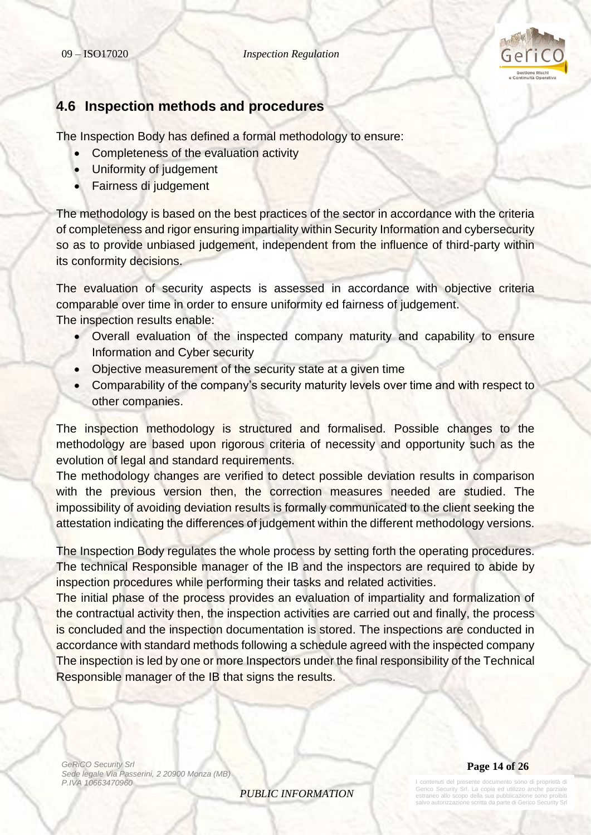

### <span id="page-13-0"></span>**4.6 Inspection methods and procedures**

The Inspection Body has defined a formal methodology to ensure:

- Completeness of the evaluation activity
- Uniformity of judgement
- Fairness di judgement

The methodology is based on the best practices of the sector in accordance with the criteria of completeness and rigor ensuring impartiality within Security Information and cybersecurity so as to provide unbiased judgement, independent from the influence of third-party within its conformity decisions.

The evaluation of security aspects is assessed in accordance with objective criteria comparable over time in order to ensure uniformity ed fairness of judgement. The inspection results enable:

- Overall evaluation of the inspected company maturity and capability to ensure Information and Cyber security
- Objective measurement of the security state at a given time
- Comparability of the company's security maturity levels over time and with respect to other companies.

The inspection methodology is structured and formalised. Possible changes to the methodology are based upon rigorous criteria of necessity and opportunity such as the evolution of legal and standard requirements.

The methodology changes are verified to detect possible deviation results in comparison with the previous version then, the correction measures needed are studied. The impossibility of avoiding deviation results is formally communicated to the client seeking the attestation indicating the differences of judgement within the different methodology versions.

The Inspection Body regulates the whole process by setting forth the operating procedures. The technical Responsible manager of the IB and the inspectors are required to abide by inspection procedures while performing their tasks and related activities.

The initial phase of the process provides an evaluation of impartiality and formalization of the contractual activity then, the inspection activities are carried out and finally, the process is concluded and the inspection documentation is stored. The inspections are conducted in accordance with standard methods following a schedule agreed with the inspected company The inspection is led by one or more Inspectors under the final responsibility of the Technical Responsible manager of the IB that signs the results.

*GeRiCO Security Srl Sede legale Via Passerini, 2 20900 Monza (MB) P.IVA 10663470960*

*PUBLIC INFORMATION*

### **Page 14 of 26**

I contenuti del presente documento sono di proprietà di Gerico Security Srl. La copia ed utilizzo anche parzia estraneo allo scopo della sua pubblicazione sono proibiti salvo autorizzazione scritta da parte di Gerico Security Srl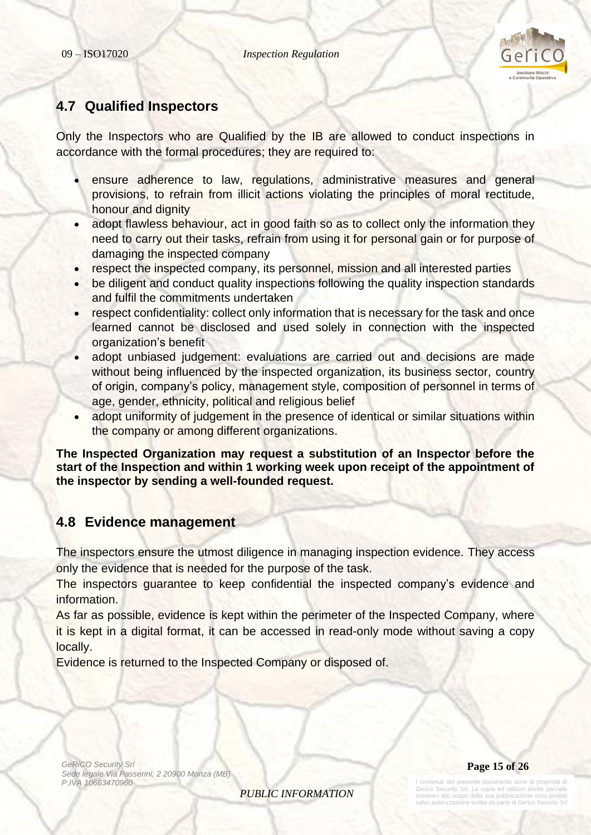

## <span id="page-14-0"></span>**4.7 Qualified Inspectors**

Only the Inspectors who are Qualified by the IB are allowed to conduct inspections in accordance with the formal procedures; they are required to:

- ensure adherence to law, regulations, administrative measures and general provisions, to refrain from illicit actions violating the principles of moral rectitude, honour and dignity
- adopt flawless behaviour, act in good faith so as to collect only the information they need to carry out their tasks, refrain from using it for personal gain or for purpose of damaging the inspected company
- respect the inspected company, its personnel, mission and all interested parties
- be diligent and conduct quality inspections following the quality inspection standards and fulfil the commitments undertaken
- respect confidentiality: collect only information that is necessary for the task and once learned cannot be disclosed and used solely in connection with the inspected organization's benefit
- adopt unbiased judgement: evaluations are carried out and decisions are made without being influenced by the inspected organization, its business sector, country of origin, company's policy, management style, composition of personnel in terms of age, gender, ethnicity, political and religious belief
- adopt uniformity of judgement in the presence of identical or similar situations within the company or among different organizations.

**The Inspected Organization may request a substitution of an Inspector before the start of the Inspection and within 1 working week upon receipt of the appointment of the inspector by sending a well-founded request.** 

# <span id="page-14-1"></span>**4.8 Evidence management**

The inspectors ensure the utmost diligence in managing inspection evidence. They access only the evidence that is needed for the purpose of the task.

The inspectors guarantee to keep confidential the inspected company's evidence and information.

As far as possible, evidence is kept within the perimeter of the Inspected Company, where it is kept in a digital format, it can be accessed in read-only mode without saving a copy locally.

*PUBLIC INFORMATION*

Evidence is returned to the Inspected Company or disposed of.

*GeRiCO Security Srl Sede legale Via Passerini, 2 20900 Monza (MB) P.IVA 10663470960*

**Page 15 of 26**

I contenuti del presente documento sono di proprietà di Gerico Security Srl. La copia ed utilizzo anche parziale estraneo allo scopo della sua pubblicazione sono proibiti salvo autorizzazione scritta da parte di Gerico Security Srl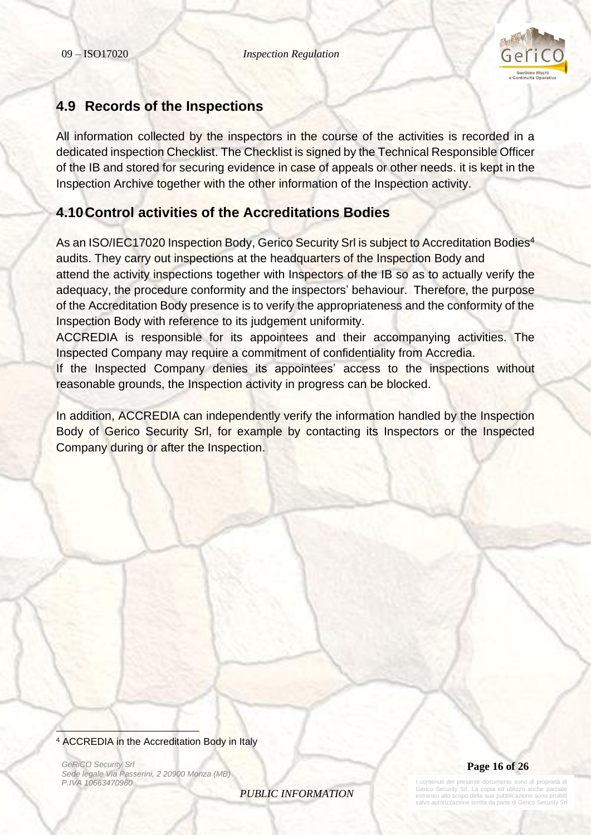

# <span id="page-15-0"></span>**4.9 Records of the Inspections**

All information collected by the inspectors in the course of the activities is recorded in a dedicated inspection Checklist. The Checklist is signed by the Technical Responsible Officer of the IB and stored for securing evidence in case of appeals or other needs. it is kept in the Inspection Archive together with the other information of the Inspection activity.

# <span id="page-15-1"></span>**4.10Control activities of the Accreditations Bodies**

As an ISO/IEC17020 Inspection Body, Gerico Security Srl is subject to Accreditation Bodies<sup>4</sup> audits. They carry out inspections at the headquarters of the Inspection Body and attend the activity inspections together with Inspectors of the IB so as to actually verify the adequacy, the procedure conformity and the inspectors' behaviour. Therefore, the purpose of the Accreditation Body presence is to verify the appropriateness and the conformity of the Inspection Body with reference to its judgement uniformity.

ACCREDIA is responsible for its appointees and their accompanying activities. The Inspected Company may require a commitment of confidentiality from Accredia.

If the Inspected Company denies its appointees' access to the inspections without reasonable grounds, the Inspection activity in progress can be blocked.

In addition, ACCREDIA can independently verify the information handled by the Inspection Body of Gerico Security Srl, for example by contacting its Inspectors or the Inspected Company during or after the Inspection.

*GeRiCO Security Srl Sede legale Via Passerini, 2 20900 Monza (MB) P.IVA 10663470960*





contenuti del presente documento sono di proprietà di Gerico Security Srl. La copia ed utilizzo anche parziale estraneo allo scopo della sua pubblicazione sono proibiti lvo autorizzazione scritta da parte di Gerico Sec

<sup>4</sup> ACCREDIA in the Accreditation Body in Italy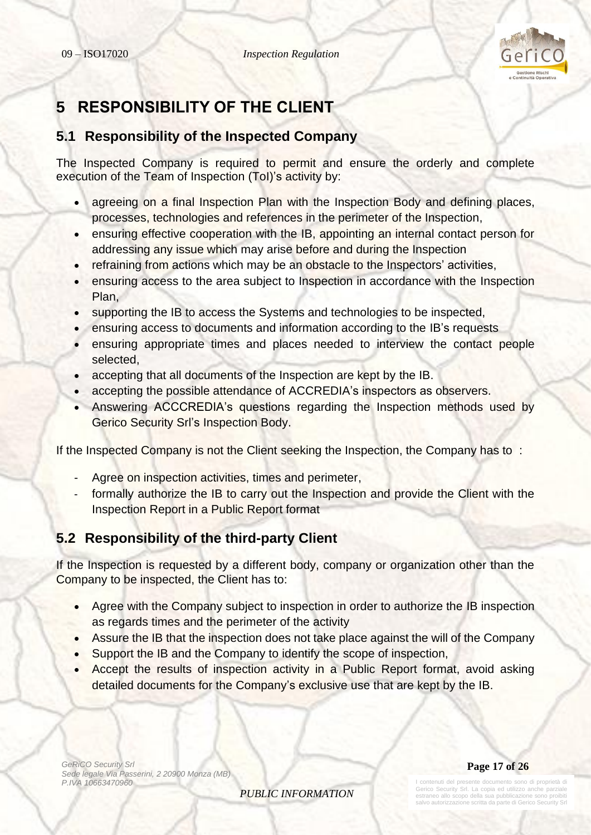

# <span id="page-16-0"></span>**5 RESPONSIBILITY OF THE CLIENT**

# <span id="page-16-1"></span>**5.1 Responsibility of the Inspected Company**

The Inspected Company is required to permit and ensure the orderly and complete execution of the Team of Inspection (ToI)'s activity by:

- agreeing on a final Inspection Plan with the Inspection Body and defining places, processes, technologies and references in the perimeter of the Inspection,
- ensuring effective cooperation with the IB, appointing an internal contact person for addressing any issue which may arise before and during the Inspection
- refraining from actions which may be an obstacle to the Inspectors' activities,
- ensuring access to the area subject to Inspection in accordance with the Inspection Plan,
- supporting the IB to access the Systems and technologies to be inspected,
- ensuring access to documents and information according to the IB's requests
- ensuring appropriate times and places needed to interview the contact people selected,
- accepting that all documents of the Inspection are kept by the IB.
- accepting the possible attendance of ACCREDIA's inspectors as observers.
- Answering ACCCREDIA's questions regarding the Inspection methods used by Gerico Security Srl's Inspection Body.

If the Inspected Company is not the Client seeking the Inspection, the Company has to :

- Agree on inspection activities, times and perimeter,
- formally authorize the IB to carry out the Inspection and provide the Client with the Inspection Report in a Public Report format

# <span id="page-16-2"></span>**5.2 Responsibility of the third-party Client**

If the Inspection is requested by a different body, company or organization other than the Company to be inspected, the Client has to:

- Agree with the Company subject to inspection in order to authorize the IB inspection as regards times and the perimeter of the activity
- Assure the IB that the inspection does not take place against the will of the Company
- Support the IB and the Company to identify the scope of inspection,
- Accept the results of inspection activity in a Public Report format, avoid asking detailed documents for the Company's exclusive use that are kept by the IB.

*GeRiCO Security Srl Sede legale Via Passerini, 2 20900 Monza (MB) P.IVA 10663470960*

*PUBLIC INFORMATION*

**Page 17 of 26**

I contenuti del presente documento sono di proprietà di Gerico Security Srl. La copia ed utilizzo anche parziale estraneo allo scopo della sua pubblicazione sono proibiti salvo autorizzazione scritta da parte di Gerico Security Srl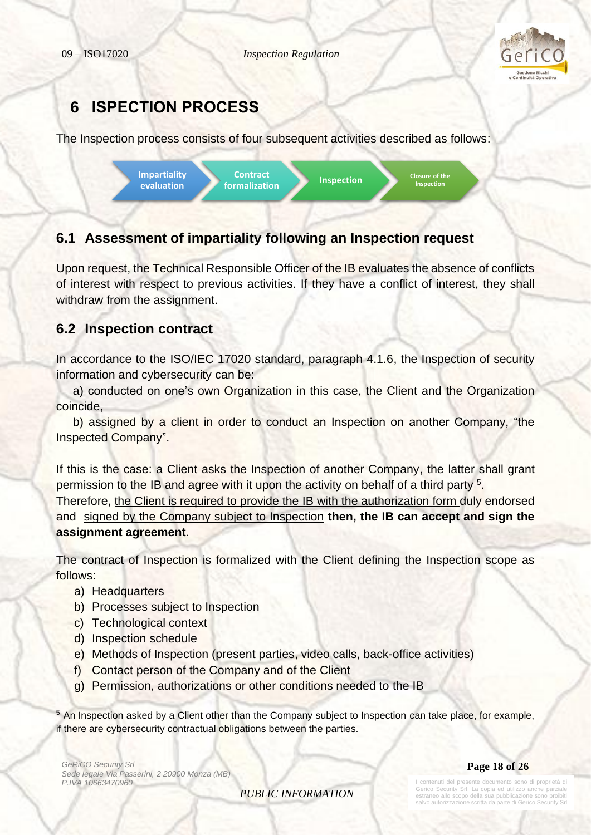

# <span id="page-17-0"></span>**6 ISPECTION PROCESS**

The Inspection process consists of four subsequent activities described as follows:



# <span id="page-17-1"></span>**6.1 Assessment of impartiality following an Inspection request**

Upon request, the Technical Responsible Officer of the IB evaluates the absence of conflicts of interest with respect to previous activities. If they have a conflict of interest, they shall withdraw from the assignment.

# <span id="page-17-2"></span>**6.2 Inspection contract**

In accordance to the ISO/IEC 17020 standard, paragraph 4.1.6, the Inspection of security information and cybersecurity can be:

 a) conducted on one's own Organization in this case, the Client and the Organization coincide,

 b) assigned by a client in order to conduct an Inspection on another Company, "the Inspected Company".

If this is the case: a Client asks the Inspection of another Company, the latter shall grant permission to the IB and agree with it upon the activity on behalf of a third party <sup>5</sup>. Therefore, the Client is required to provide the IB with the authorization form duly endorsed and signed by the Company subject to Inspection **then, the IB can accept and sign the assignment agreement**.

The contract of Inspection is formalized with the Client defining the Inspection scope as follows:

- a) Headquarters
- b) Processes subject to Inspection
- c) Technological context
- d) Inspection schedule
- e) Methods of Inspection (present parties, video calls, back-office activities)
- f) Contact person of the Company and of the Client
- g) Permission, authorizations or other conditions needed to the IB

<sup>5</sup> An Inspection asked by a Client other than the Company subject to Inspection can take place, for example, if there are cybersecurity contractual obligations between the parties.

*GeRiCO Security Srl Sede legale Via Passerini, 2 20900 Monza (MB) P.IVA 10663470960*

**Page 18 of 26**

*PUBLIC INFORMATION*

contenuti del presente documento sono di proprietà di Gerico Security Srl. La copia ed utilizzo anche parziale estraneo allo scopo della sua pubblicazione sono proibiti salvo autorizzazione scritta da parte di Gerico Sec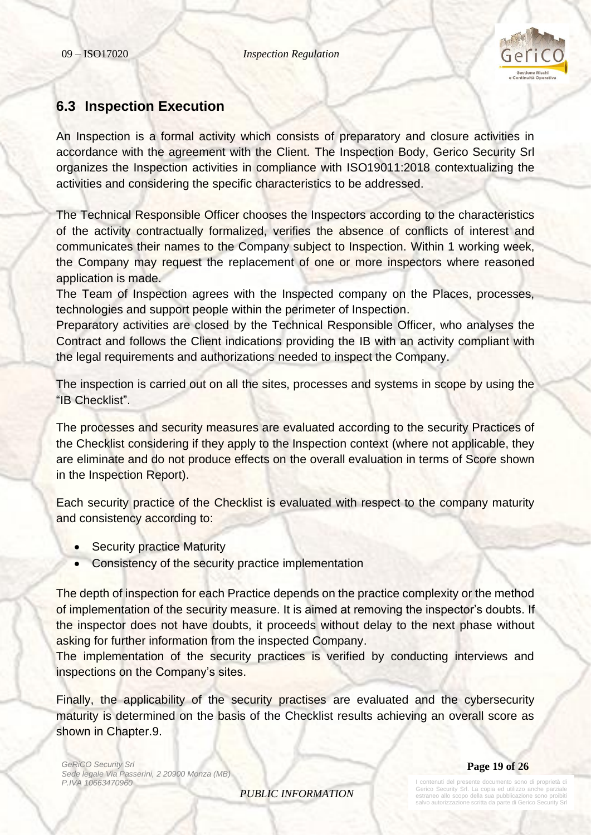

## <span id="page-18-0"></span>**6.3 Inspection Execution**

An Inspection is a formal activity which consists of preparatory and closure activities in accordance with the agreement with the Client. The Inspection Body, Gerico Security Srl organizes the Inspection activities in compliance with ISO19011:2018 contextualizing the activities and considering the specific characteristics to be addressed.

The Technical Responsible Officer chooses the Inspectors according to the characteristics of the activity contractually formalized, verifies the absence of conflicts of interest and communicates their names to the Company subject to Inspection. Within 1 working week, the Company may request the replacement of one or more inspectors where reasoned application is made.

The Team of Inspection agrees with the Inspected company on the Places, processes, technologies and support people within the perimeter of Inspection.

Preparatory activities are closed by the Technical Responsible Officer, who analyses the Contract and follows the Client indications providing the IB with an activity compliant with the legal requirements and authorizations needed to inspect the Company.

The inspection is carried out on all the sites, processes and systems in scope by using the "IB Checklist".

The processes and security measures are evaluated according to the security Practices of the Checklist considering if they apply to the Inspection context (where not applicable, they are eliminate and do not produce effects on the overall evaluation in terms of Score shown in the Inspection Report).

Each security practice of the Checklist is evaluated with respect to the company maturity and consistency according to:

- Security practice Maturity
- Consistency of the security practice implementation

The depth of inspection for each Practice depends on the practice complexity or the method of implementation of the security measure. It is aimed at removing the inspector's doubts. If the inspector does not have doubts, it proceeds without delay to the next phase without asking for further information from the inspected Company.

The implementation of the security practices is verified by conducting interviews and inspections on the Company's sites.

Finally, the applicability of the security practises are evaluated and the cybersecurity maturity is determined on the basis of the Checklist results achieving an overall score as shown in Chapter.9.

*GeRiCO Security Srl Sede legale Via Passerini, 2 20900 Monza (MB) P.IVA 10663470960*

**Page 19 of 26**

*PUBLIC INFORMATION*

I contenuti del presente documento sono di proprietà di erico Security Srl. La copia ed utilizzo anche estraneo allo scopo della sua pubblicazione sono salvo autorizzazione scritta da parte di Gerico Security Srl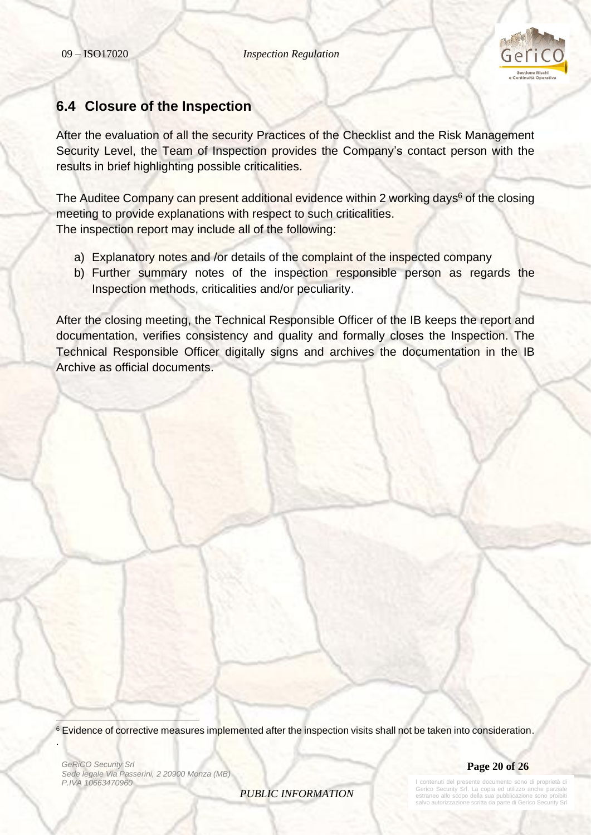

### <span id="page-19-0"></span>**6.4 Closure of the Inspection**

After the evaluation of all the security Practices of the Checklist and the Risk Management Security Level, the Team of Inspection provides the Company's contact person with the results in brief highlighting possible criticalities.

The Auditee Company can present additional evidence within 2 working days<sup>6</sup> of the closing meeting to provide explanations with respect to such criticalities. The inspection report may include all of the following:

- a) Explanatory notes and /or details of the complaint of the inspected company
- b) Further summary notes of the inspection responsible person as regards the Inspection methods, criticalities and/or peculiarity.

After the closing meeting, the Technical Responsible Officer of the IB keeps the report and documentation, verifies consistency and quality and formally closes the Inspection. The Technical Responsible Officer digitally signs and archives the documentation in the IB Archive as official documents.

<sup>6</sup> Evidence of corrective measures implemented after the inspection visits shall not be taken into consideration.

*GeRiCO Security Srl Sede legale Via Passerini, 2 20900 Monza (MB) P.IVA 10663470960*

.



*PUBLIC INFORMATION*

Iti del presente documento sono di proprietà di Gerico Security Srl. La copia ed utilizzo anche parziale estraneo allo scopo della sua pubblicazione sono proibiti vo autorizzazione scritta da parte di Gerico Sec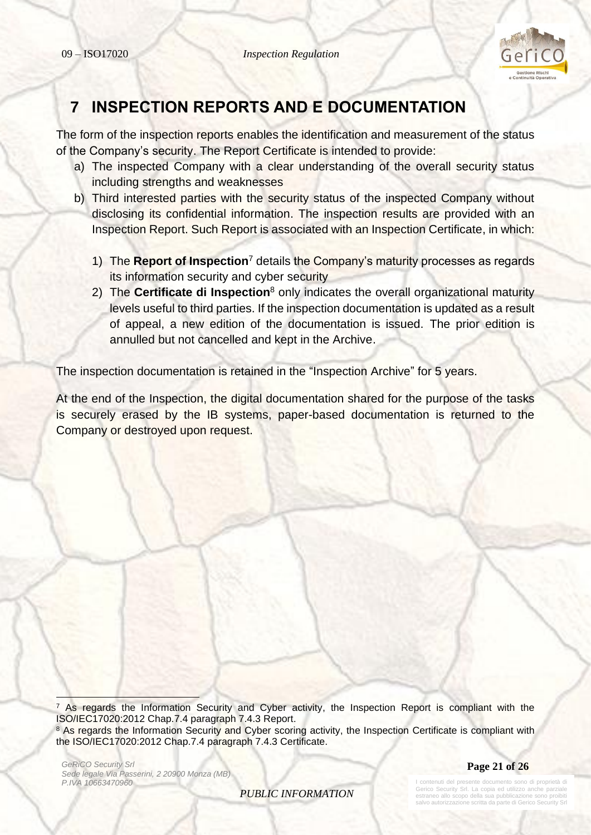

# <span id="page-20-0"></span>**7 INSPECTION REPORTS AND E DOCUMENTATION**

The form of the inspection reports enables the identification and measurement of the status of the Company's security. The Report Certificate is intended to provide:

- a) The inspected Company with a clear understanding of the overall security status including strengths and weaknesses
- b) Third interested parties with the security status of the inspected Company without disclosing its confidential information. The inspection results are provided with an Inspection Report. Such Report is associated with an Inspection Certificate, in which:
	- 1) The **Report of Inspection**<sup>7</sup> details the Company's maturity processes as regards its information security and cyber security
	- 2) The **Certificate di Inspection**<sup>8</sup> only indicates the overall organizational maturity levels useful to third parties. If the inspection documentation is updated as a result of appeal, a new edition of the documentation is issued. The prior edition is annulled but not cancelled and kept in the Archive.

The inspection documentation is retained in the "Inspection Archive" for 5 years.

At the end of the Inspection, the digital documentation shared for the purpose of the tasks is securely erased by the IB systems, paper-based documentation is returned to the Company or destroyed upon request.

 $<sup>7</sup>$  As regards the Information Security and Cyber activity, the Inspection Report is compliant with the</sup> ISO/IEC17020:2012 Chap.7.4 paragraph 7.4.3 Report. <sup>8</sup> As regards the Information Security and Cyber scoring activity, the Inspection Certificate is compliant with the ISO/IEC17020:2012 Chap.7.4 paragraph 7.4.3 Certificate.

*GeRiCO Security Srl Sede legale Via Passerini, 2 20900 Monza (MB) P.IVA 10663470960*

**Page 21 of 26**

*PUBLIC INFORMATION*

contenuti del presente documento sono di proprietà di Gerico Security Srl. La copia ed utilizzo anche parziale estraneo allo scopo della sua pubblicazione sono proibiti salvo autorizzazione scritta da parte di Gerico Sec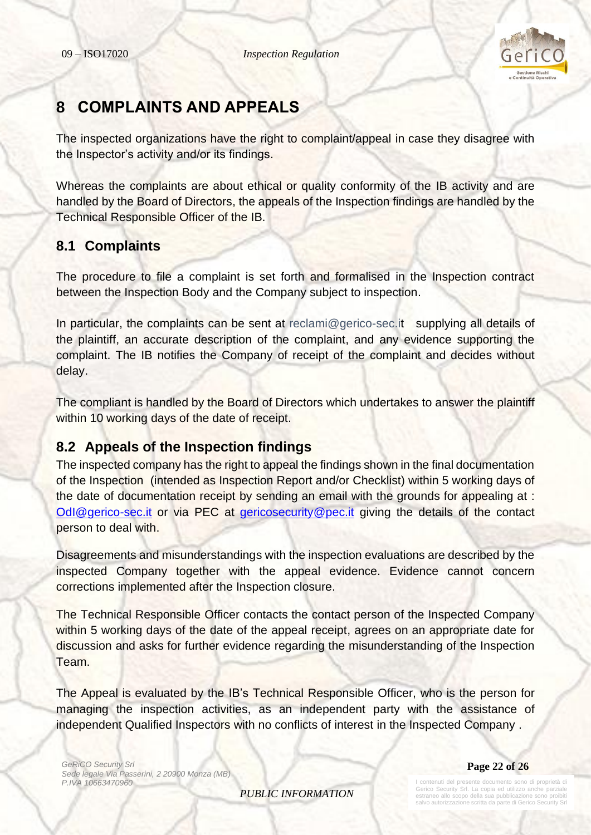

# <span id="page-21-0"></span>**8 COMPLAINTS AND APPEALS**

The inspected organizations have the right to complaint/appeal in case they disagree with the Inspector's activity and/or its findings.

Whereas the complaints are about ethical or quality conformity of the IB activity and are handled by the Board of Directors, the appeals of the Inspection findings are handled by the Technical Responsible Officer of the IB.

# <span id="page-21-1"></span>**8.1 Complaints**

The procedure to file a complaint is set forth and formalised in the Inspection contract between the Inspection Body and the Company subject to inspection.

In particular, the complaints can be sent at [reclami@gerico-sec.it](mailto:reclami@gerico-sec.it) supplying all details of the plaintiff, an accurate description of the complaint, and any evidence supporting the complaint. The IB notifies the Company of receipt of the complaint and decides without delay.

The compliant is handled by the Board of Directors which undertakes to answer the plaintiff within 10 working days of the date of receipt.

# <span id="page-21-2"></span>**8.2 Appeals of the Inspection findings**

The inspected company has the right to appeal the findings shown in the final documentation of the Inspection (intended as Inspection Report and/or Checklist) within 5 working days of the date of documentation receipt by sending an email with the grounds for appealing at : [OdI@gerico-sec.it](mailto:OdI@gerico-sec.it) or via PEC at [gericosecurity@pec.it](mailto:gericosecurity@pec.it) giving the details of the contact person to deal with.

Disagreements and misunderstandings with the inspection evaluations are described by the inspected Company together with the appeal evidence. Evidence cannot concern corrections implemented after the Inspection closure.

The Technical Responsible Officer contacts the contact person of the Inspected Company within 5 working days of the date of the appeal receipt, agrees on an appropriate date for discussion and asks for further evidence regarding the misunderstanding of the Inspection Team.

The Appeal is evaluated by the IB's Technical Responsible Officer, who is the person for managing the inspection activities, as an independent party with the assistance of independent Qualified Inspectors with no conflicts of interest in the Inspected Company .

*GeRiCO Security Srl Sede legale Via Passerini, 2 20900 Monza (MB) P.IVA 10663470960*

**Page 22 of 26**

*PUBLIC INFORMATION*

I contenuti del presente documento sono di proprietà di Gerico Security Srl. La copia ed utilizzo anche parzia estraneo allo scopo della sua pubblicazione sono pro o autorizzazione scritta da parte di Gerico Si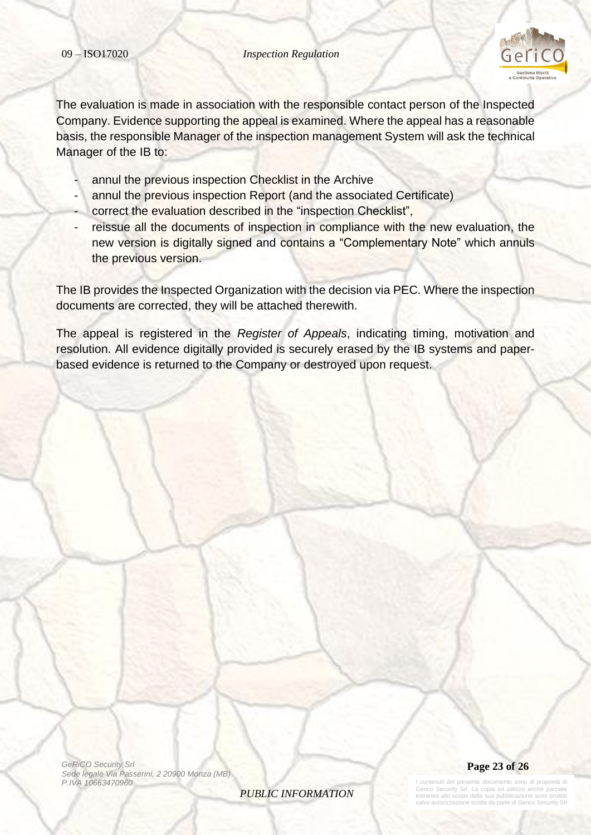

The evaluation is made in association with the responsible contact person of the Inspected Company. Evidence supporting the appeal is examined. Where the appeal has a reasonable basis, the responsible Manager of the inspection management System will ask the technical Manager of the IB to:

- annul the previous inspection Checklist in the Archive
- annul the previous inspection Report (and the associated Certificate)
- correct the evaluation described in the "inspection Checklist",
- reissue all the documents of inspection in compliance with the new evaluation, the new version is digitally signed and contains a "Complementary Note" which annuls the previous version.

The IB provides the Inspected Organization with the decision via PEC. Where the inspection documents are corrected, they will be attached therewith.

The appeal is registered in the *Register of Appeals*, indicating timing, motivation and resolution. All evidence digitally provided is securely erased by the IB systems and paperbased evidence is returned to the Company or destroyed upon request.

*GeRiCO Security Srl Sede legale Via Passerini, 2 20900 Monza (MB) P.IVA 10663470960*

*PUBLIC INFORMATION*



documento sono di proprietà di erico Security Srl. La copia ed utilizzo anche parzia estraneo allo scopo della sua pubblicazione sono proi salvo autorizzazione scritta da parte di Gerico Security Srl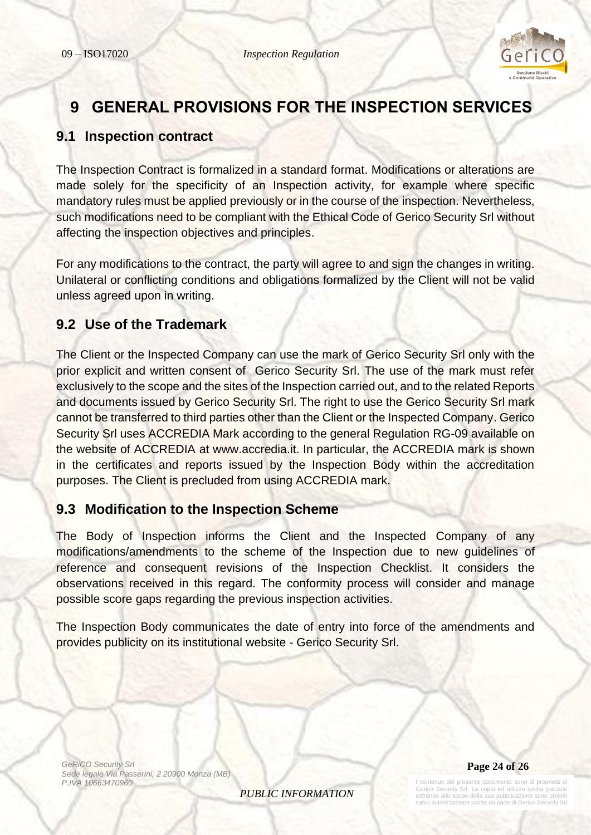

# <span id="page-23-0"></span>**9 GENERAL PROVISIONS FOR THE INSPECTION SERVICES**

# <span id="page-23-1"></span>**9.1 Inspection contract**

The Inspection Contract is formalized in a standard format. Modifications or alterations are made solely for the specificity of an Inspection activity, for example where specific mandatory rules must be applied previously or in the course of the inspection. Nevertheless, such modifications need to be compliant with the Ethical Code of Gerico Security Srl without affecting the inspection objectives and principles.

For any modifications to the contract, the party will agree to and sign the changes in writing. Unilateral or conflicting conditions and obligations formalized by the Client will not be valid unless agreed upon in writing.

### <span id="page-23-2"></span>**9.2 Use of the Trademark**

The Client or the Inspected Company can use the mark of Gerico Security Srl only with the prior explicit and written consent of Gerico Security Srl. The use of the mark must refer exclusively to the scope and the sites of the Inspection carried out, and to the related Reports and documents issued by Gerico Security Srl. The right to use the Gerico Security Srl mark cannot be transferred to third parties other than the Client or the Inspected Company. Gerico Security Srl uses ACCREDIA Mark according to the general Regulation RG-09 available on the website of ACCREDIA at www.accredia.it. In particular, the ACCREDIA mark is shown in the certificates and reports issued by the Inspection Body within the accreditation purposes. The Client is precluded from using ACCREDIA mark.

# <span id="page-23-3"></span>**9.3 Modification to the Inspection Scheme**

The Body of Inspection informs the Client and the Inspected Company of any modifications/amendments to the scheme of the Inspection due to new guidelines of reference and consequent revisions of the Inspection Checklist. It considers the observations received in this regard. The conformity process will consider and manage possible score gaps regarding the previous inspection activities.

The Inspection Body communicates the date of entry into force of the amendments and provides publicity on its institutional website - Gerico Security Srl.

*GeRiCO Security Srl Sede legale Via Passerini, 2 20900 Monza (MB) P.IVA 10663470960*

*PUBLIC INFORMATION*

**Page 24 of 26**

I contenuti del presente documento sono di proprietà di Gerico Security Srl. La copia ed utilizzo anche parziale estraneo allo scopo della sua pubblicazione sono proibiti lvo autorizzazione scritta da parte di Gerico Sec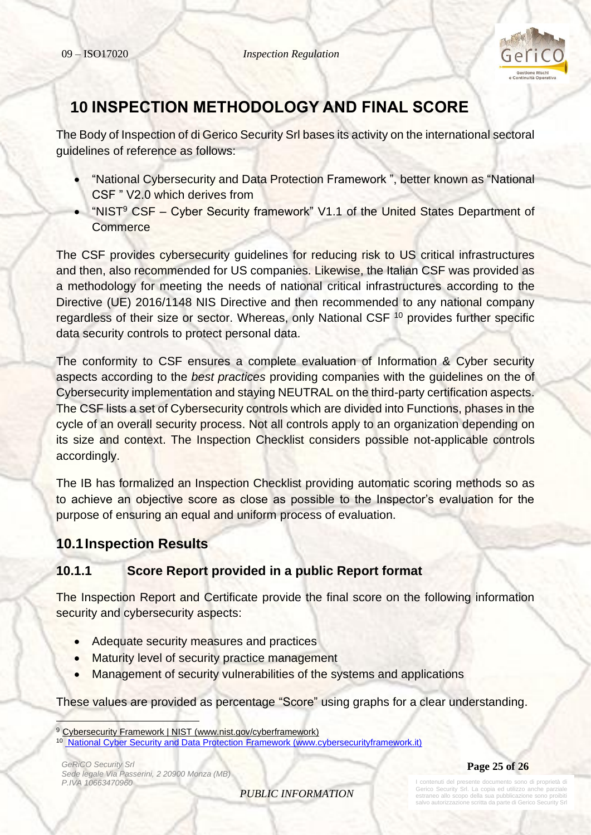

# <span id="page-24-0"></span>**10 INSPECTION METHODOLOGY AND FINAL SCORE**

The Body of Inspection of di Gerico Security Srl bases its activity on the international sectoral guidelines of reference as follows:

- "National Cybersecurity and Data Protection Framework ", better known as "National CSF " V2.0 which derives from
- "NIST<sup>9</sup> CSF Cyber Security framework" V1.1 of the United States Department of **Commerce**

The CSF provides cybersecurity guidelines for reducing risk to US critical infrastructures and then, also recommended for US companies. Likewise, the Italian CSF was provided as a methodology for meeting the needs of national critical infrastructures according to the Directive (UE) 2016/1148 NIS Directive and then recommended to any national company regardless of their size or sector. Whereas, only National CSF <sup>10</sup> provides further specific data security controls to protect personal data.

The conformity to CSF ensures a complete evaluation of Information & Cyber security aspects according to the *best practices* providing companies with the guidelines on the of Cybersecurity implementation and staying NEUTRAL on the third-party certification aspects. The CSF lists a set of Cybersecurity controls which are divided into Functions, phases in the cycle of an overall security process. Not all controls apply to an organization depending on its size and context. The Inspection Checklist considers possible not-applicable controls accordingly.

The IB has formalized an Inspection Checklist providing automatic scoring methods so as to achieve an objective score as close as possible to the Inspector's evaluation for the purpose of ensuring an equal and uniform process of evaluation.

# <span id="page-24-1"></span>**10.1Inspection Results**

### <span id="page-24-2"></span>**10.1.1 Score Report provided in a public Report format**

The Inspection Report and Certificate provide the final score on the following information security and cybersecurity aspects:

- Adequate security measures and practices
- Maturity level of security practice management
- Management of security vulnerabilities of the systems and applications

These values are provided as percentage "Score" using graphs for a clear understanding.

*GeRiCO Security Srl Sede legale Via Passerini, 2 20900 Monza (MB) P.IVA 10663470960*



*PUBLIC INFORMATION*

enuti del presente documento sono di proprietà di Gerico Security Srl. La copia ed utilizzo anche parziale estraneo allo scopo della sua pubblicazione sono proibiti lvo autorizzazione scritta da parte di Gerico Sec

<sup>&</sup>lt;sup>9</sup> Cybersecurity Framework | NIST (www.nist.gov/cyberframework)

<sup>&</sup>lt;sup>10</sup> National Cyber Security and Data Protection Framework (www.cybersecurityframework.it)